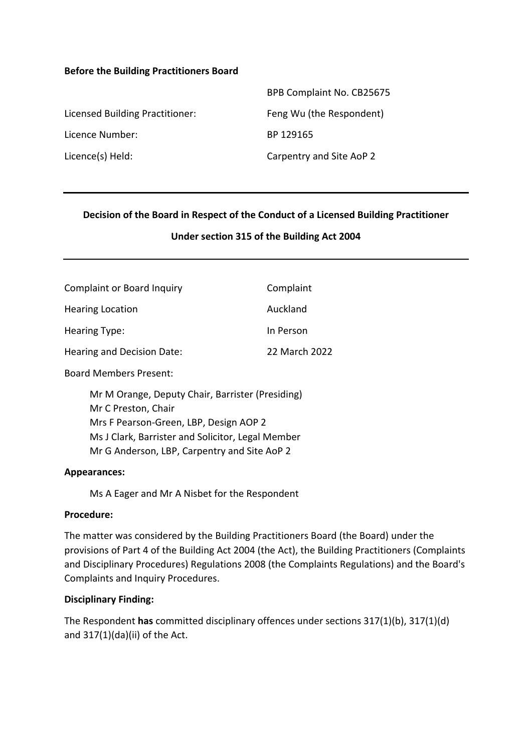### **Before the Building Practitioners Board**

|                                 | BPB Complaint No. CB25675 |
|---------------------------------|---------------------------|
| Licensed Building Practitioner: | Feng Wu (the Respondent)  |
| Licence Number:                 | BP 129165                 |
| Licence(s) Held:                | Carpentry and Site AoP 2  |

#### **Decision of the Board in Respect of the Conduct of a Licensed Building Practitioner**

## **Under section 315 of the Building Act 2004**

| <b>Complaint or Board Inquiry</b> | Complaint     |
|-----------------------------------|---------------|
| <b>Hearing Location</b>           | Auckland      |
| Hearing Type:                     | In Person     |
| Hearing and Decision Date:        | 22 March 2022 |
| <b>Board Members Present:</b>     |               |

Mr M Orange, Deputy Chair, Barrister (Presiding) Mr C Preston, Chair Mrs F Pearson-Green, LBP, Design AOP 2 Ms J Clark, Barrister and Solicitor, Legal Member Mr G Anderson, LBP, Carpentry and Site AoP 2

#### **Appearances:**

Ms A Eager and Mr A Nisbet for the Respondent

#### **Procedure:**

The matter was considered by the Building Practitioners Board (the Board) under the provisions of Part 4 of the Building Act 2004 (the Act), the Building Practitioners (Complaints and Disciplinary Procedures) Regulations 2008 (the Complaints Regulations) and the Board's Complaints and Inquiry Procedures.

### **Disciplinary Finding:**

The Respondent **has** committed disciplinary offences under sections 317(1)(b), 317(1)(d) and 317(1)(da)(ii) of the Act.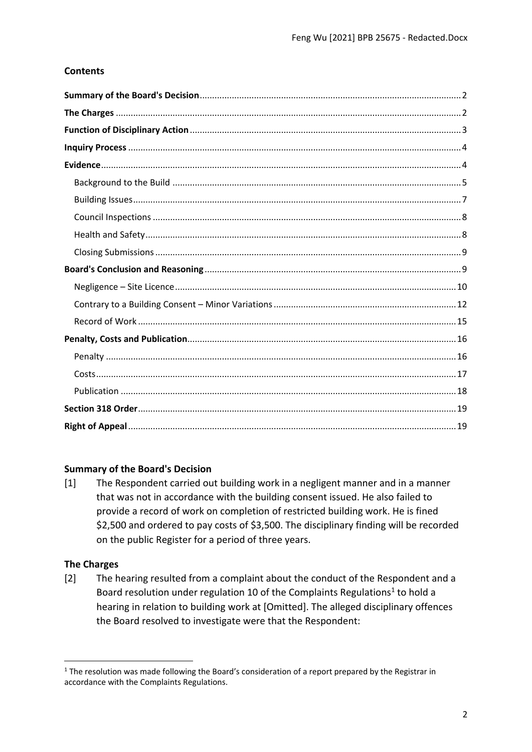# **Contents**

# <span id="page-1-0"></span>**Summary of the Board's Decision**

[1] The Respondent carried out building work in a negligent manner and in a manner that was not in accordance with the building consent issued. He also failed to provide a record of work on completion of restricted building work. He is fined \$2,500 and ordered to pay costs of \$3,500. The disciplinary finding will be recorded on the public Register for a period of three years.

# <span id="page-1-1"></span>**The Charges**

[2] The hearing resulted from a complaint about the conduct of the Respondent and a Board resolution under regulation 10 of the Complaints Regulations<sup>1</sup> to hold a hearing in relation to building work at [Omitted]. The alleged disciplinary offences the Board resolved to investigate were that the Respondent:

<sup>&</sup>lt;sup>1</sup> The resolution was made following the Board's consideration of a report prepared by the Registrar in accordance with the Complaints Regulations.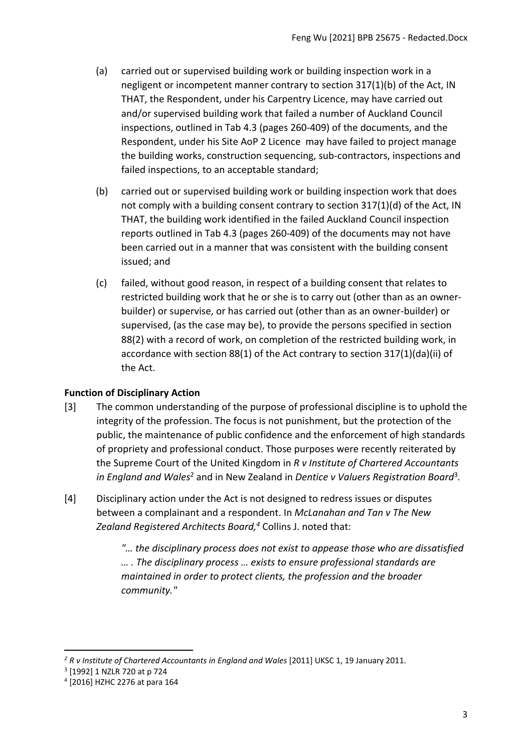- (a) carried out or supervised building work or building inspection work in a negligent or incompetent manner contrary to section 317(1)(b) of the Act, IN THAT, the Respondent, under his Carpentry Licence, may have carried out and/or supervised building work that failed a number of Auckland Council inspections, outlined in Tab 4.3 (pages 260-409) of the documents, and the Respondent, under his Site AoP 2 Licence may have failed to project manage the building works, construction sequencing, sub-contractors, inspections and failed inspections, to an acceptable standard;
- (b) carried out or supervised building work or building inspection work that does not comply with a building consent contrary to section 317(1)(d) of the Act, IN THAT, the building work identified in the failed Auckland Council inspection reports outlined in Tab 4.3 (pages 260-409) of the documents may not have been carried out in a manner that was consistent with the building consent issued; and
- (c) failed, without good reason, in respect of a building consent that relates to restricted building work that he or she is to carry out (other than as an ownerbuilder) or supervise, or has carried out (other than as an owner-builder) or supervised, (as the case may be), to provide the persons specified in section 88(2) with a record of work, on completion of the restricted building work, in accordance with section 88(1) of the Act contrary to section 317(1)(da)(ii) of the Act.

# <span id="page-2-0"></span>**Function of Disciplinary Action**

- [3] The common understanding of the purpose of professional discipline is to uphold the integrity of the profession. The focus is not punishment, but the protection of the public, the maintenance of public confidence and the enforcement of high standards of propriety and professional conduct. Those purposes were recently reiterated by the Supreme Court of the United Kingdom in *R v Institute of Chartered Accountants*  in England and Wales<sup>2</sup> and in New Zealand in Dentice v Valuers Registration Board<sup>3</sup>.
- [4] Disciplinary action under the Act is not designed to redress issues or disputes between a complainant and a respondent. In *McLanahan and Tan v The New Zealand Registered Architects Board, <sup>4</sup>* Collins J. noted that:

*"… the disciplinary process does not exist to appease those who are dissatisfied … . The disciplinary process … exists to ensure professional standards are maintained in order to protect clients, the profession and the broader community."*

<sup>&</sup>lt;sup>2</sup> R v Institute of Chartered Accountants in England and Wales [2011] UKSC 1, 19 January 2011.

<sup>3</sup> [1992] 1 NZLR 720 at p 724

<sup>4</sup> [2016] HZHC 2276 at para 164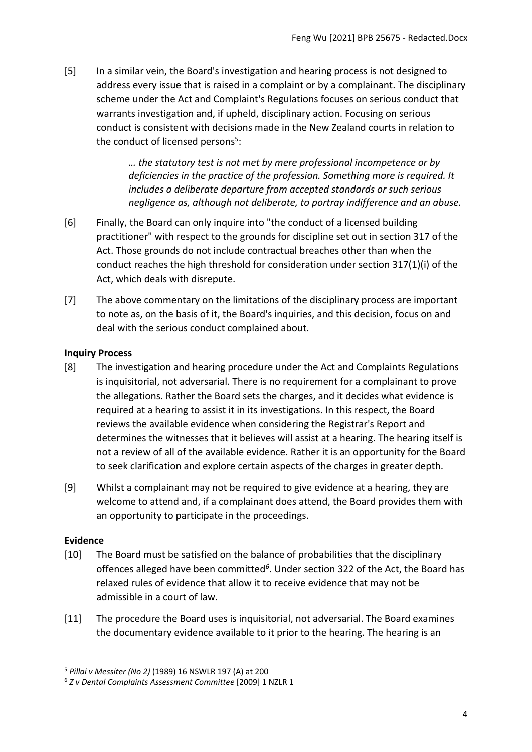[5] In a similar vein, the Board's investigation and hearing process is not designed to address every issue that is raised in a complaint or by a complainant. The disciplinary scheme under the Act and Complaint's Regulations focuses on serious conduct that warrants investigation and, if upheld, disciplinary action. Focusing on serious conduct is consistent with decisions made in the New Zealand courts in relation to the conduct of licensed persons<sup>5</sup>:

> *… the statutory test is not met by mere professional incompetence or by deficiencies in the practice of the profession. Something more is required. It includes a deliberate departure from accepted standards or such serious negligence as, although not deliberate, to portray indifference and an abuse.*

- [6] Finally, the Board can only inquire into "the conduct of a licensed building practitioner" with respect to the grounds for discipline set out in section 317 of the Act. Those grounds do not include contractual breaches other than when the conduct reaches the high threshold for consideration under section 317(1)(i) of the Act, which deals with disrepute.
- [7] The above commentary on the limitations of the disciplinary process are important to note as, on the basis of it, the Board's inquiries, and this decision, focus on and deal with the serious conduct complained about.

## <span id="page-3-0"></span>**Inquiry Process**

- [8] The investigation and hearing procedure under the Act and Complaints Regulations is inquisitorial, not adversarial. There is no requirement for a complainant to prove the allegations. Rather the Board sets the charges, and it decides what evidence is required at a hearing to assist it in its investigations. In this respect, the Board reviews the available evidence when considering the Registrar's Report and determines the witnesses that it believes will assist at a hearing. The hearing itself is not a review of all of the available evidence. Rather it is an opportunity for the Board to seek clarification and explore certain aspects of the charges in greater depth.
- [9] Whilst a complainant may not be required to give evidence at a hearing, they are welcome to attend and, if a complainant does attend, the Board provides them with an opportunity to participate in the proceedings.

### <span id="page-3-1"></span>**Evidence**

- [10] The Board must be satisfied on the balance of probabilities that the disciplinary offences alleged have been committed*<sup>6</sup>* . Under section 322 of the Act, the Board has relaxed rules of evidence that allow it to receive evidence that may not be admissible in a court of law.
- [11] The procedure the Board uses is inquisitorial, not adversarial. The Board examines the documentary evidence available to it prior to the hearing. The hearing is an

<sup>5</sup> *Pillai v Messiter (No 2)* (1989) 16 NSWLR 197 (A) at 200

<sup>6</sup> *Z v Dental Complaints Assessment Committee* [2009] 1 NZLR 1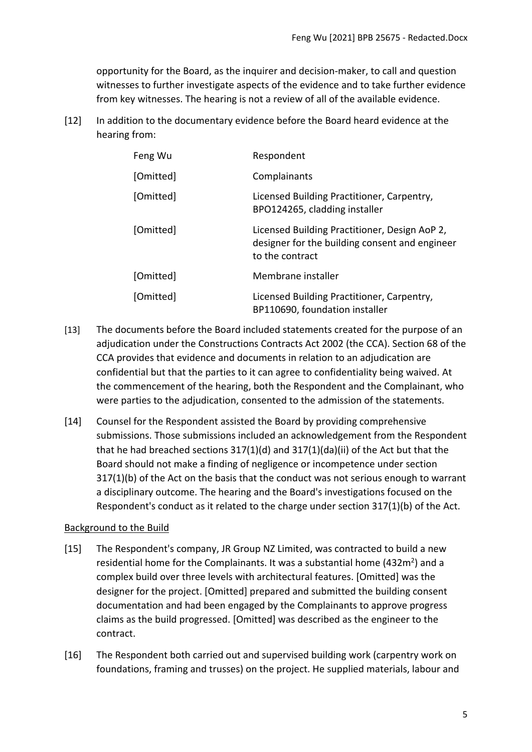opportunity for the Board, as the inquirer and decision-maker, to call and question witnesses to further investigate aspects of the evidence and to take further evidence from key witnesses. The hearing is not a review of all of the available evidence.

[12] In addition to the documentary evidence before the Board heard evidence at the hearing from:

| Feng Wu   | Respondent                                                                                                         |
|-----------|--------------------------------------------------------------------------------------------------------------------|
| [Omitted] | Complainants                                                                                                       |
| [Omitted] | Licensed Building Practitioner, Carpentry,<br>BPO124265, cladding installer                                        |
| [Omitted] | Licensed Building Practitioner, Design AoP 2,<br>designer for the building consent and engineer<br>to the contract |
| [Omitted] | Membrane installer                                                                                                 |
| [Omitted] | Licensed Building Practitioner, Carpentry,<br>BP110690, foundation installer                                       |

- [13] The documents before the Board included statements created for the purpose of an adjudication under the Constructions Contracts Act 2002 (the CCA). Section 68 of the CCA provides that evidence and documents in relation to an adjudication are confidential but that the parties to it can agree to confidentiality being waived. At the commencement of the hearing, both the Respondent and the Complainant, who were parties to the adjudication, consented to the admission of the statements.
- [14] Counsel for the Respondent assisted the Board by providing comprehensive submissions. Those submissions included an acknowledgement from the Respondent that he had breached sections 317(1)(d) and 317(1)(da)(ii) of the Act but that the Board should not make a finding of negligence or incompetence under section 317(1)(b) of the Act on the basis that the conduct was not serious enough to warrant a disciplinary outcome. The hearing and the Board's investigations focused on the Respondent's conduct as it related to the charge under section 317(1)(b) of the Act.

# <span id="page-4-0"></span>Background to the Build

- [15] The Respondent's company, JR Group NZ Limited, was contracted to build a new residential home for the Complainants. It was a substantial home (432 $m<sup>2</sup>$ ) and a complex build over three levels with architectural features. [Omitted] was the designer for the project. [Omitted] prepared and submitted the building consent documentation and had been engaged by the Complainants to approve progress claims as the build progressed. [Omitted] was described as the engineer to the contract.
- [16] The Respondent both carried out and supervised building work (carpentry work on foundations, framing and trusses) on the project. He supplied materials, labour and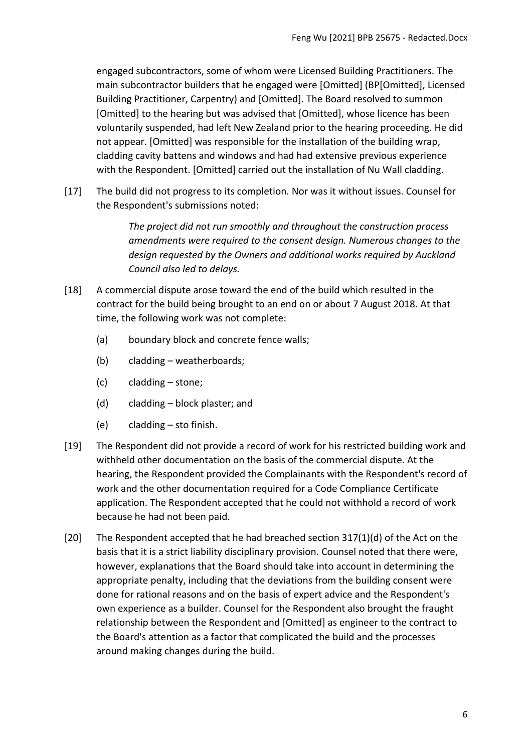engaged subcontractors, some of whom were Licensed Building Practitioners. The main subcontractor builders that he engaged were [Omitted] (BP[Omitted], Licensed Building Practitioner, Carpentry) and [Omitted]. The Board resolved to summon [Omitted] to the hearing but was advised that [Omitted], whose licence has been voluntarily suspended, had left New Zealand prior to the hearing proceeding. He did not appear. [Omitted] was responsible for the installation of the building wrap, cladding cavity battens and windows and had had extensive previous experience with the Respondent. [Omitted] carried out the installation of Nu Wall cladding.

[17] The build did not progress to its completion. Nor was it without issues. Counsel for the Respondent's submissions noted:

> *The project did not run smoothly and throughout the construction process amendments were required to the consent design. Numerous changes to the design requested by the Owners and additional works required by Auckland Council also led to delays.*

- [18] A commercial dispute arose toward the end of the build which resulted in the contract for the build being brought to an end on or about 7 August 2018. At that time, the following work was not complete:
	- (a) boundary block and concrete fence walls;
	- (b) cladding weatherboards;
	- (c) cladding stone;
	- (d) cladding block plaster; and
	- (e) cladding sto finish.
- [19] The Respondent did not provide a record of work for his restricted building work and withheld other documentation on the basis of the commercial dispute. At the hearing, the Respondent provided the Complainants with the Respondent's record of work and the other documentation required for a Code Compliance Certificate application. The Respondent accepted that he could not withhold a record of work because he had not been paid.
- [20] The Respondent accepted that he had breached section 317(1)(d) of the Act on the basis that it is a strict liability disciplinary provision. Counsel noted that there were, however, explanations that the Board should take into account in determining the appropriate penalty, including that the deviations from the building consent were done for rational reasons and on the basis of expert advice and the Respondent's own experience as a builder. Counsel for the Respondent also brought the fraught relationship between the Respondent and [Omitted] as engineer to the contract to the Board's attention as a factor that complicated the build and the processes around making changes during the build.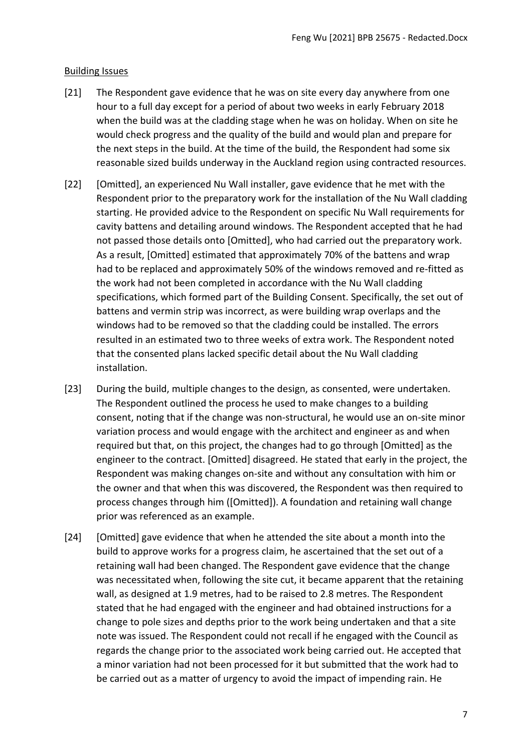## <span id="page-6-0"></span>Building Issues

- [21] The Respondent gave evidence that he was on site every day anywhere from one hour to a full day except for a period of about two weeks in early February 2018 when the build was at the cladding stage when he was on holiday. When on site he would check progress and the quality of the build and would plan and prepare for the next steps in the build. At the time of the build, the Respondent had some six reasonable sized builds underway in the Auckland region using contracted resources.
- [22] [Omitted], an experienced Nu Wall installer, gave evidence that he met with the Respondent prior to the preparatory work for the installation of the Nu Wall cladding starting. He provided advice to the Respondent on specific Nu Wall requirements for cavity battens and detailing around windows. The Respondent accepted that he had not passed those details onto [Omitted], who had carried out the preparatory work. As a result, [Omitted] estimated that approximately 70% of the battens and wrap had to be replaced and approximately 50% of the windows removed and re-fitted as the work had not been completed in accordance with the Nu Wall cladding specifications, which formed part of the Building Consent. Specifically, the set out of battens and vermin strip was incorrect, as were building wrap overlaps and the windows had to be removed so that the cladding could be installed. The errors resulted in an estimated two to three weeks of extra work. The Respondent noted that the consented plans lacked specific detail about the Nu Wall cladding installation.
- [23] During the build, multiple changes to the design, as consented, were undertaken. The Respondent outlined the process he used to make changes to a building consent, noting that if the change was non-structural, he would use an on-site minor variation process and would engage with the architect and engineer as and when required but that, on this project, the changes had to go through [Omitted] as the engineer to the contract. [Omitted] disagreed. He stated that early in the project, the Respondent was making changes on-site and without any consultation with him or the owner and that when this was discovered, the Respondent was then required to process changes through him ([Omitted]). A foundation and retaining wall change prior was referenced as an example.
- [24] [Omitted] gave evidence that when he attended the site about a month into the build to approve works for a progress claim, he ascertained that the set out of a retaining wall had been changed. The Respondent gave evidence that the change was necessitated when, following the site cut, it became apparent that the retaining wall, as designed at 1.9 metres, had to be raised to 2.8 metres. The Respondent stated that he had engaged with the engineer and had obtained instructions for a change to pole sizes and depths prior to the work being undertaken and that a site note was issued. The Respondent could not recall if he engaged with the Council as regards the change prior to the associated work being carried out. He accepted that a minor variation had not been processed for it but submitted that the work had to be carried out as a matter of urgency to avoid the impact of impending rain. He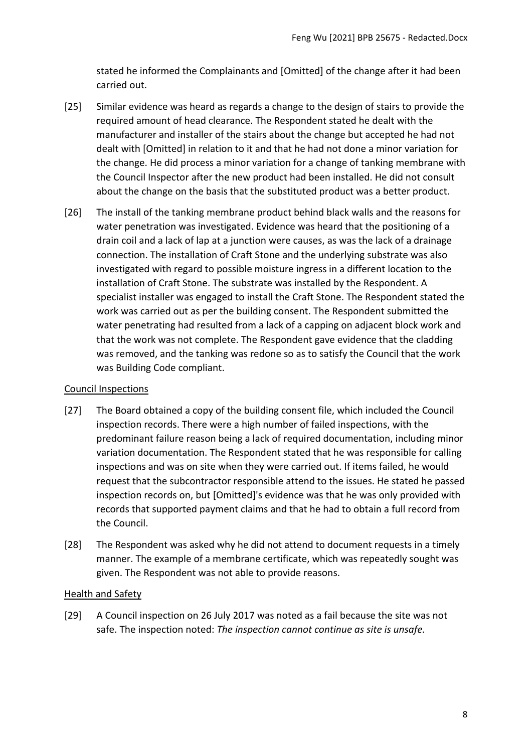stated he informed the Complainants and [Omitted] of the change after it had been carried out.

- [25] Similar evidence was heard as regards a change to the design of stairs to provide the required amount of head clearance. The Respondent stated he dealt with the manufacturer and installer of the stairs about the change but accepted he had not dealt with [Omitted] in relation to it and that he had not done a minor variation for the change. He did process a minor variation for a change of tanking membrane with the Council Inspector after the new product had been installed. He did not consult about the change on the basis that the substituted product was a better product.
- [26] The install of the tanking membrane product behind black walls and the reasons for water penetration was investigated. Evidence was heard that the positioning of a drain coil and a lack of lap at a junction were causes, as was the lack of a drainage connection. The installation of Craft Stone and the underlying substrate was also investigated with regard to possible moisture ingress in a different location to the installation of Craft Stone. The substrate was installed by the Respondent. A specialist installer was engaged to install the Craft Stone. The Respondent stated the work was carried out as per the building consent. The Respondent submitted the water penetrating had resulted from a lack of a capping on adjacent block work and that the work was not complete. The Respondent gave evidence that the cladding was removed, and the tanking was redone so as to satisfy the Council that the work was Building Code compliant.

# <span id="page-7-0"></span>Council Inspections

- [27] The Board obtained a copy of the building consent file, which included the Council inspection records. There were a high number of failed inspections, with the predominant failure reason being a lack of required documentation, including minor variation documentation. The Respondent stated that he was responsible for calling inspections and was on site when they were carried out. If items failed, he would request that the subcontractor responsible attend to the issues. He stated he passed inspection records on, but [Omitted]'s evidence was that he was only provided with records that supported payment claims and that he had to obtain a full record from the Council.
- [28] The Respondent was asked why he did not attend to document requests in a timely manner. The example of a membrane certificate, which was repeatedly sought was given. The Respondent was not able to provide reasons.

### <span id="page-7-1"></span>Health and Safety

[29] A Council inspection on 26 July 2017 was noted as a fail because the site was not safe. The inspection noted: *The inspection cannot continue as site is unsafe.*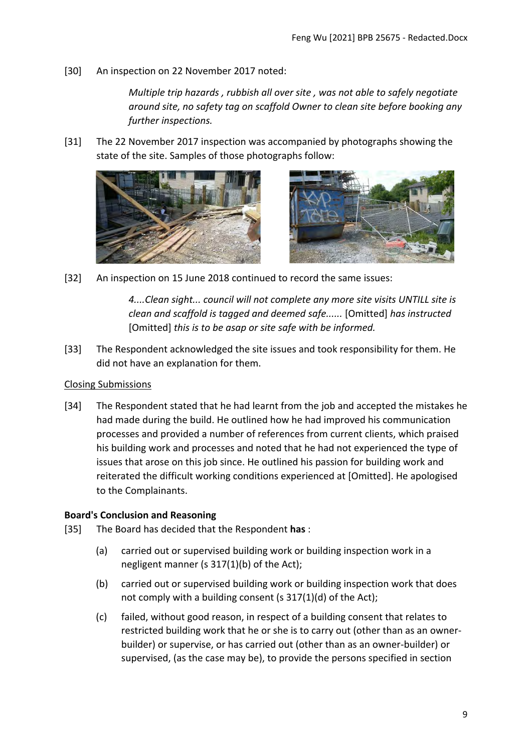[30] An inspection on 22 November 2017 noted:

*Multiple trip hazards , rubbish all over site , was not able to safely negotiate around site, no safety tag on scaffold Owner to clean site before booking any further inspections.* 

[31] The 22 November 2017 inspection was accompanied by photographs showing the state of the site. Samples of those photographs follow:





[32] An inspection on 15 June 2018 continued to record the same issues:

*4....Clean sight... council will not complete any more site visits UNTILL site is clean and scaffold is tagged and deemed safe......* [Omitted] *has instructed*  [Omitted] *this is to be asap or site safe with be informed.*

[33] The Respondent acknowledged the site issues and took responsibility for them. He did not have an explanation for them.

### <span id="page-8-0"></span>Closing Submissions

[34] The Respondent stated that he had learnt from the job and accepted the mistakes he had made during the build. He outlined how he had improved his communication processes and provided a number of references from current clients, which praised his building work and processes and noted that he had not experienced the type of issues that arose on this job since. He outlined his passion for building work and reiterated the difficult working conditions experienced at [Omitted]. He apologised to the Complainants.

# <span id="page-8-1"></span>**Board's Conclusion and Reasoning**

- [35] The Board has decided that the Respondent **has** :
	- (a) carried out or supervised building work or building inspection work in a negligent manner (s 317(1)(b) of the Act);
	- (b) carried out or supervised building work or building inspection work that does not comply with a building consent (s 317(1)(d) of the Act);
	- (c) failed, without good reason, in respect of a building consent that relates to restricted building work that he or she is to carry out (other than as an ownerbuilder) or supervise, or has carried out (other than as an owner-builder) or supervised, (as the case may be), to provide the persons specified in section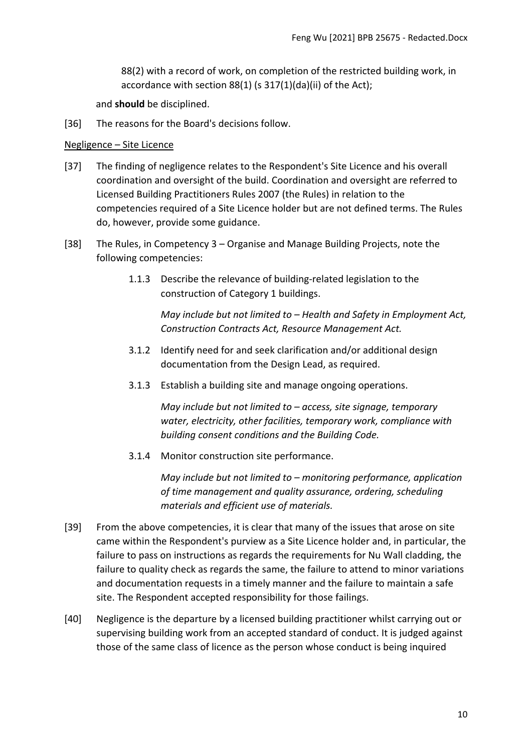88(2) with a record of work, on completion of the restricted building work, in accordance with section 88(1) (s 317(1)(da)(ii) of the Act);

and **should** be disciplined.

[36] The reasons for the Board's decisions follow.

#### <span id="page-9-0"></span>Negligence – Site Licence

- [37] The finding of negligence relates to the Respondent's Site Licence and his overall coordination and oversight of the build. Coordination and oversight are referred to Licensed Building Practitioners Rules 2007 (the Rules) in relation to the competencies required of a Site Licence holder but are not defined terms. The Rules do, however, provide some guidance.
- [38] The Rules, in Competency 3 Organise and Manage Building Projects, note the following competencies:
	- 1.1.3 Describe the relevance of building-related legislation to the construction of Category 1 buildings.

*May include but not limited to – Health and Safety in Employment Act, Construction Contracts Act, Resource Management Act.*

- 3.1.2 Identify need for and seek clarification and/or additional design documentation from the Design Lead, as required.
- 3.1.3 Establish a building site and manage ongoing operations.

*May include but not limited to – access, site signage, temporary water, electricity, other facilities, temporary work, compliance with building consent conditions and the Building Code.*

3.1.4 Monitor construction site performance.

*May include but not limited to – monitoring performance, application of time management and quality assurance, ordering, scheduling materials and efficient use of materials.*

- [39] From the above competencies, it is clear that many of the issues that arose on site came within the Respondent's purview as a Site Licence holder and, in particular, the failure to pass on instructions as regards the requirements for Nu Wall cladding, the failure to quality check as regards the same, the failure to attend to minor variations and documentation requests in a timely manner and the failure to maintain a safe site. The Respondent accepted responsibility for those failings.
- [40] Negligence is the departure by a licensed building practitioner whilst carrying out or supervising building work from an accepted standard of conduct. It is judged against those of the same class of licence as the person whose conduct is being inquired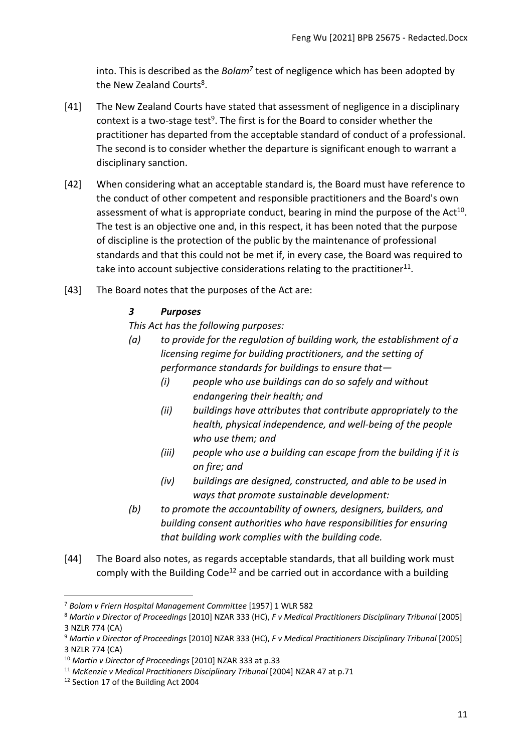into. This is described as the *Bolam<sup>7</sup>* test of negligence which has been adopted by the New Zealand Courts<sup>8</sup>.

- [41] The New Zealand Courts have stated that assessment of negligence in a disciplinary context is a two-stage test<sup>9</sup>. The first is for the Board to consider whether the practitioner has departed from the acceptable standard of conduct of a professional. The second is to consider whether the departure is significant enough to warrant a disciplinary sanction.
- [42] When considering what an acceptable standard is, the Board must have reference to the conduct of other competent and responsible practitioners and the Board's own assessment of what is appropriate conduct, bearing in mind the purpose of the Act<sup>10</sup>. The test is an objective one and, in this respect, it has been noted that the purpose of discipline is the protection of the public by the maintenance of professional standards and that this could not be met if, in every case, the Board was required to take into account subjective considerations relating to the practitioner $^{11}$ .
- [43] The Board notes that the purposes of the Act are:

# *3 Purposes*

*This Act has the following purposes:*

- *(a) to provide for the regulation of building work, the establishment of a licensing regime for building practitioners, and the setting of performance standards for buildings to ensure that—*
	- *(i) people who use buildings can do so safely and without endangering their health; and*
	- *(ii) buildings have attributes that contribute appropriately to the health, physical independence, and well-being of the people who use them; and*
	- *(iii) people who use a building can escape from the building if it is on fire; and*
	- *(iv) buildings are designed, constructed, and able to be used in ways that promote sustainable development:*
- *(b) to promote the accountability of owners, designers, builders, and building consent authorities who have responsibilities for ensuring that building work complies with the building code.*
- [44] The Board also notes, as regards acceptable standards, that all building work must comply with the Building Code<sup>12</sup> and be carried out in accordance with a building

<sup>7</sup> *Bolam v Friern Hospital Management Committee* [1957] 1 WLR 582

<sup>8</sup> *Martin v Director of Proceedings* [2010] NZAR 333 (HC), *F v Medical Practitioners Disciplinary Tribunal* [2005] 3 NZLR 774 (CA)

<sup>9</sup> *Martin v Director of Proceedings* [2010] NZAR 333 (HC), *F v Medical Practitioners Disciplinary Tribunal* [2005] 3 NZLR 774 (CA)

<sup>10</sup> *Martin v Director of Proceedings* [2010] NZAR 333 at p.33

<sup>11</sup> *McKenzie v Medical Practitioners Disciplinary Tribunal* [2004] NZAR 47 at p.71

<sup>&</sup>lt;sup>12</sup> Section 17 of the Building Act 2004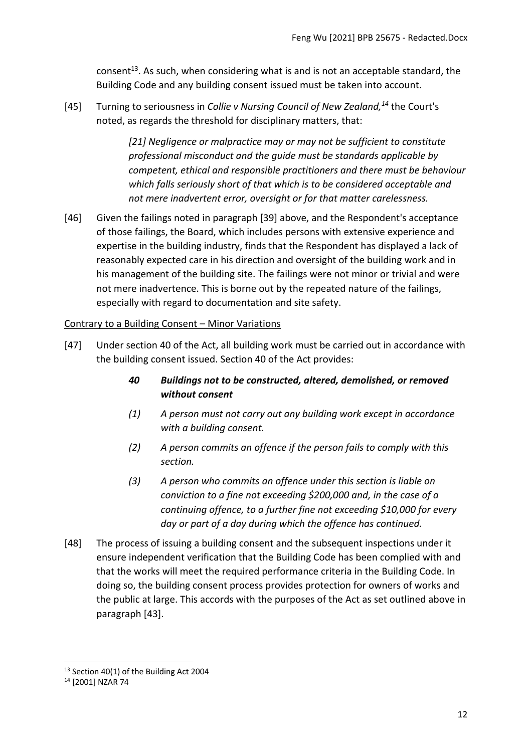consent<sup>13</sup>. As such, when considering what is and is not an acceptable standard, the Building Code and any building consent issued must be taken into account.

[45] Turning to seriousness in *Collie v Nursing Council of New Zealand,<sup>14</sup>* the Court's noted, as regards the threshold for disciplinary matters, that:

> *[21] Negligence or malpractice may or may not be sufficient to constitute professional misconduct and the guide must be standards applicable by competent, ethical and responsible practitioners and there must be behaviour which falls seriously short of that which is to be considered acceptable and not mere inadvertent error, oversight or for that matter carelessness.*

[46] Given the failings noted in paragraph [39] above, and the Respondent's acceptance of those failings, the Board, which includes persons with extensive experience and expertise in the building industry, finds that the Respondent has displayed a lack of reasonably expected care in his direction and oversight of the building work and in his management of the building site. The failings were not minor or trivial and were not mere inadvertence. This is borne out by the repeated nature of the failings, especially with regard to documentation and site safety.

# <span id="page-11-0"></span>Contrary to a Building Consent – Minor Variations

- [47] Under section 40 of the Act, all building work must be carried out in accordance with the building consent issued. Section 40 of the Act provides:
	- *40 Buildings not to be constructed, altered, demolished, or removed without consent*
	- *(1) A person must not carry out any building work except in accordance with a building consent.*
	- *(2) A person commits an offence if the person fails to comply with this section.*
	- *(3) A person who commits an offence under this section is liable on conviction to a fine not exceeding \$200,000 and, in the case of a continuing offence, to a further fine not exceeding \$10,000 for every day or part of a day during which the offence has continued.*
- [48] The process of issuing a building consent and the subsequent inspections under it ensure independent verification that the Building Code has been complied with and that the works will meet the required performance criteria in the Building Code. In doing so, the building consent process provides protection for owners of works and the public at large. This accords with the purposes of the Act as set outlined above in paragraph [43].

<sup>&</sup>lt;sup>13</sup> Section 40(1) of the Building Act 2004

<sup>14</sup> [2001] NZAR 74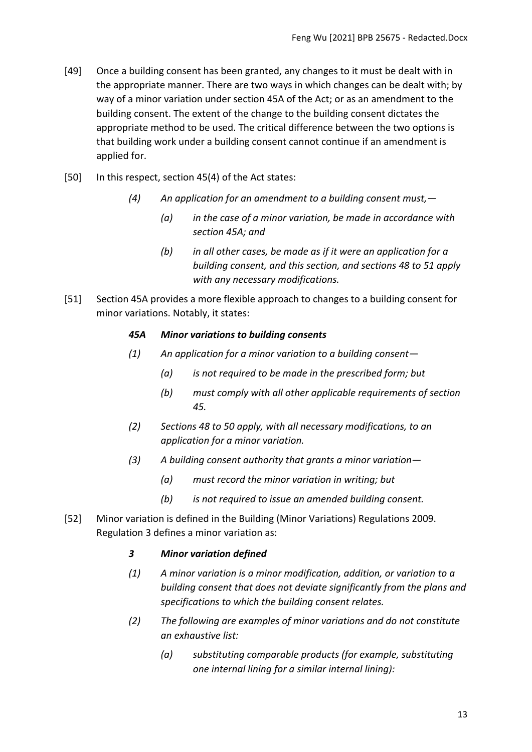- [49] Once a building consent has been granted, any changes to it must be dealt with in the appropriate manner. There are two ways in which changes can be dealt with; by way of a minor variation under section 45A of the Act; or as an amendment to the building consent. The extent of the change to the building consent dictates the appropriate method to be used. The critical difference between the two options is that building work under a building consent cannot continue if an amendment is applied for.
- [50] In this respect, section 45(4) of the Act states:
	- *(4) An application for an amendment to a building consent must,—*
		- *(a) in the case of a minor variation, be made in accordance with section 45A; and*
		- *(b) in all other cases, be made as if it were an application for a building consent, and this section, and sections 48 to 51 apply with any necessary modifications.*
- [51] Section 45A provides a more flexible approach to changes to a building consent for minor variations. Notably, it states:

#### *45A Minor variations to building consents*

- *(1) An application for a minor variation to a building consent—*
	- *(a) is not required to be made in the prescribed form; but*
	- *(b) must comply with all other applicable requirements of section 45.*
- *(2) Sections 48 to 50 apply, with all necessary modifications, to an application for a minor variation.*
- *(3) A building consent authority that grants a minor variation—*
	- *(a) must record the minor variation in writing; but*
	- *(b) is not required to issue an amended building consent.*
- [52] Minor variation is defined in the Building (Minor Variations) Regulations 2009. Regulation 3 defines a minor variation as:

### *3 Minor variation defined*

- *(1) A minor variation is a minor modification, addition, or variation to a building consent that does not deviate significantly from the plans and specifications to which the building consent relates.*
- *(2) The following are examples of minor variations and do not constitute an exhaustive list:*
	- *(a) substituting comparable products (for example, substituting one internal lining for a similar internal lining):*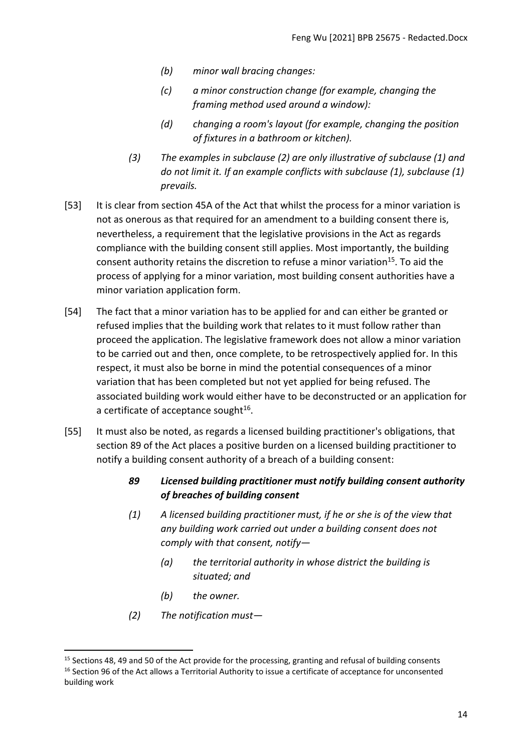- *(b) minor wall bracing changes:*
- *(c) a minor construction change (for example, changing the framing method used around a window):*
- *(d) changing a room's layout (for example, changing the position of fixtures in a bathroom or kitchen).*
- *(3) The examples in subclause (2) are only illustrative of subclause (1) and do not limit it. If an example conflicts with subclause (1), subclause (1) prevails.*
- [53] It is clear from section 45A of the Act that whilst the process for a minor variation is not as onerous as that required for an amendment to a building consent there is, nevertheless, a requirement that the legislative provisions in the Act as regards compliance with the building consent still applies. Most importantly, the building consent authority retains the discretion to refuse a minor variation<sup>15</sup>. To aid the process of applying for a minor variation, most building consent authorities have a minor variation application form.
- [54] The fact that a minor variation has to be applied for and can either be granted or refused implies that the building work that relates to it must follow rather than proceed the application. The legislative framework does not allow a minor variation to be carried out and then, once complete, to be retrospectively applied for. In this respect, it must also be borne in mind the potential consequences of a minor variation that has been completed but not yet applied for being refused. The associated building work would either have to be deconstructed or an application for a certificate of acceptance sought<sup>16</sup>.
- [55] It must also be noted, as regards a licensed building practitioner's obligations, that section 89 of the Act places a positive burden on a licensed building practitioner to notify a building consent authority of a breach of a building consent:
	- *89 Licensed building practitioner must notify building consent authority of breaches of building consent*
	- *(1) A licensed building practitioner must, if he or she is of the view that any building work carried out under a building consent does not comply with that consent, notify—*
		- *(a) the territorial authority in whose district the building is situated; and*
		- *(b) the owner.*
	- *(2) The notification must—*

<sup>&</sup>lt;sup>15</sup> Sections 48, 49 and 50 of the Act provide for the processing, granting and refusal of building consents <sup>16</sup> Section 96 of the Act allows a Territorial Authority to issue a certificate of acceptance for unconsented building work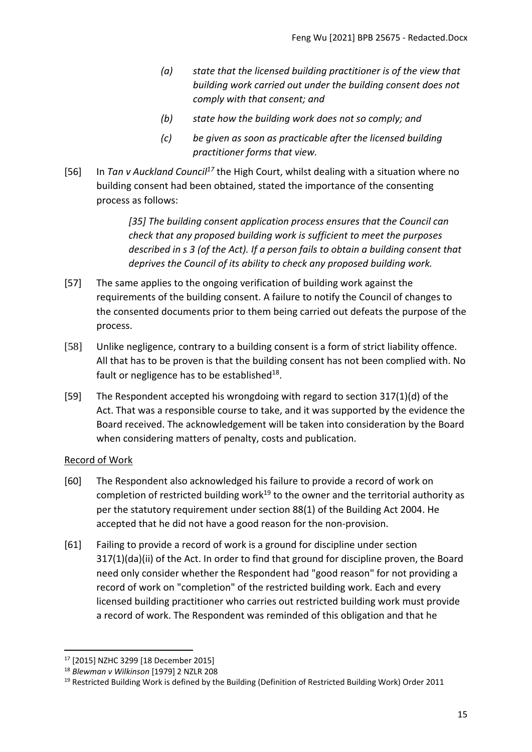- *(a) state that the licensed building practitioner is of the view that building work carried out under the building consent does not comply with that consent; and*
- *(b) state how the building work does not so comply; and*
- *(c) be given as soon as practicable after the licensed building practitioner forms that view.*
- [56] In *Tan v Auckland Council<sup>17</sup>* the High Court, whilst dealing with a situation where no building consent had been obtained, stated the importance of the consenting process as follows:

*[35] The building consent application process ensures that the Council can check that any proposed building work is sufficient to meet the purposes described in s 3 (of the Act). If a person fails to obtain a building consent that deprives the Council of its ability to check any proposed building work.* 

- [57] The same applies to the ongoing verification of building work against the requirements of the building consent. A failure to notify the Council of changes to the consented documents prior to them being carried out defeats the purpose of the process.
- [58] Unlike negligence, contrary to a building consent is a form of strict liability offence. All that has to be proven is that the building consent has not been complied with. No fault or negligence has to be established<sup>18</sup>.
- [59] The Respondent accepted his wrongdoing with regard to section 317(1)(d) of the Act. That was a responsible course to take, and it was supported by the evidence the Board received. The acknowledgement will be taken into consideration by the Board when considering matters of penalty, costs and publication.

# <span id="page-14-0"></span>Record of Work

- [60] The Respondent also acknowledged his failure to provide a record of work on completion of restricted building work<sup>19</sup> to the owner and the territorial authority as per the statutory requirement under section 88(1) of the Building Act 2004. He accepted that he did not have a good reason for the non-provision.
- [61] Failing to provide a record of work is a ground for discipline under section 317(1)(da)(ii) of the Act. In order to find that ground for discipline proven, the Board need only consider whether the Respondent had "good reason" for not providing a record of work on "completion" of the restricted building work. Each and every licensed building practitioner who carries out restricted building work must provide a record of work. The Respondent was reminded of this obligation and that he

<sup>17</sup> [2015] NZHC 3299 [18 December 2015]

<sup>18</sup> *Blewman v Wilkinson* [\[1979\] 2 NZLR 208](http://www.lexisnexis.com/nz/legal/search/enhRunRemoteLink.do?A=0.2086159965275617&service=citation&langcountry=AU&backKey=20_T27461068952&linkInfo=F%23NZ%23NZLR%23vol%252%25sel1%251979%25page%25208%25year%251979%25sel2%252%25&ersKey=23_T27461068929)

 $19$  Restricted Building Work is defined by the Building (Definition of Restricted Building Work) Order 2011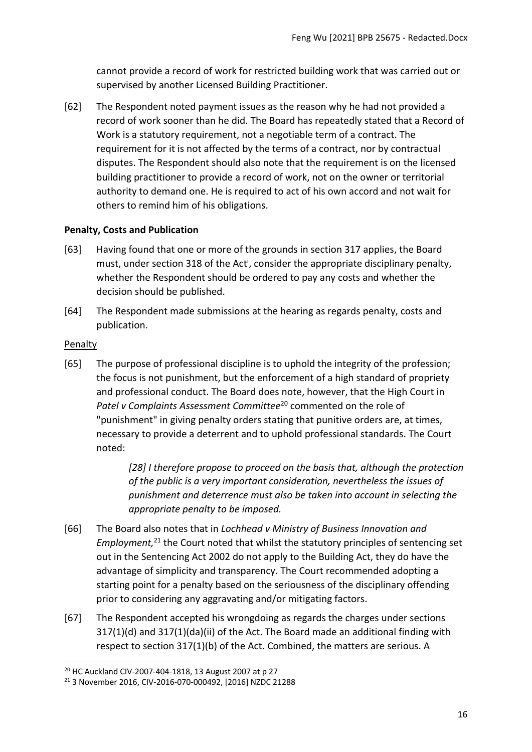cannot provide a record of work for restricted building work that was carried out or supervised by another Licensed Building Practitioner.

[62] The Respondent noted payment issues as the reason why he had not provided a record of work sooner than he did. The Board has repeatedly stated that a Record of Work is a statutory requirement, not a negotiable term of a contract. The requirement for it is not affected by the terms of a contract, nor by contractual disputes. The Respondent should also note that the requirement is on the licensed building practitioner to provide a record of work, not on the owner or territorial authority to demand one. He is required to act of his own accord and not wait for others to remind him of his obligations.

## <span id="page-15-0"></span>**Penalty, Costs and Publication**

- [63] Having found that one or more of the grounds in section 317 applies, the Board must, under section 318 of the Act<sup>i</sup>, consider the appropriate disciplinary penalty, whether the Respondent should be ordered to pay any costs and whether the decision should be published.
- [64] The Respondent made submissions at the hearing as regards penalty, costs and publication.

### <span id="page-15-1"></span>Penalty

[65] The purpose of professional discipline is to uphold the integrity of the profession; the focus is not punishment, but the enforcement of a high standard of propriety and professional conduct. The Board does note, however, that the High Court in *Patel v Complaints Assessment Committee*<sup>20</sup> commented on the role of "punishment" in giving penalty orders stating that punitive orders are, at times, necessary to provide a deterrent and to uphold professional standards. The Court noted:

> *[28] I therefore propose to proceed on the basis that, although the protection of the public is a very important consideration, nevertheless the issues of punishment and deterrence must also be taken into account in selecting the appropriate penalty to be imposed.*

- [66] The Board also notes that in *Lochhead v Ministry of Business Innovation and Employment,* <sup>21</sup> the Court noted that whilst the statutory principles of sentencing set out in the Sentencing Act 2002 do not apply to the Building Act, they do have the advantage of simplicity and transparency. The Court recommended adopting a starting point for a penalty based on the seriousness of the disciplinary offending prior to considering any aggravating and/or mitigating factors.
- [67] The Respondent accepted his wrongdoing as regards the charges under sections 317(1)(d) and 317(1)(da)(ii) of the Act. The Board made an additional finding with respect to section 317(1)(b) of the Act. Combined, the matters are serious. A

<sup>20</sup> HC Auckland CIV-2007-404-1818, 13 August 2007 at p 27

<sup>21</sup> 3 November 2016, CIV-2016-070-000492, [2016] NZDC 21288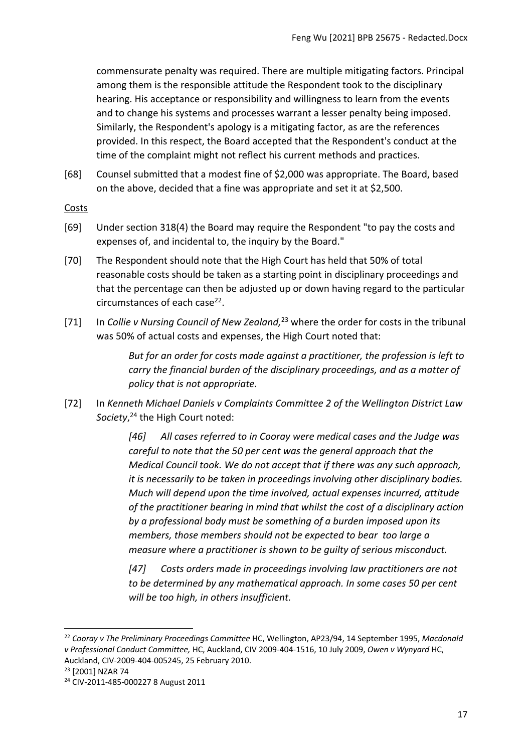commensurate penalty was required. There are multiple mitigating factors. Principal among them is the responsible attitude the Respondent took to the disciplinary hearing. His acceptance or responsibility and willingness to learn from the events and to change his systems and processes warrant a lesser penalty being imposed. Similarly, the Respondent's apology is a mitigating factor, as are the references provided. In this respect, the Board accepted that the Respondent's conduct at the time of the complaint might not reflect his current methods and practices.

[68] Counsel submitted that a modest fine of \$2,000 was appropriate. The Board, based on the above, decided that a fine was appropriate and set it at \$2,500.

### <span id="page-16-0"></span>**Costs**

- [69] Under section 318(4) the Board may require the Respondent "to pay the costs and expenses of, and incidental to, the inquiry by the Board."
- [70] The Respondent should note that the High Court has held that 50% of total reasonable costs should be taken as a starting point in disciplinary proceedings and that the percentage can then be adjusted up or down having regard to the particular circumstances of each case<sup>22</sup>.
- [71] In *Collie v Nursing Council of New Zealand,*<sup>23</sup> where the order for costs in the tribunal was 50% of actual costs and expenses, the High Court noted that:

*But for an order for costs made against a practitioner, the profession is left to carry the financial burden of the disciplinary proceedings, and as a matter of policy that is not appropriate.*

[72] In *Kenneth Michael Daniels v Complaints Committee 2 of the Wellington District Law Society*, <sup>24</sup> the High Court noted:

> *[46] All cases referred to in Cooray were medical cases and the Judge was careful to note that the 50 per cent was the general approach that the Medical Council took. We do not accept that if there was any such approach, it is necessarily to be taken in proceedings involving other disciplinary bodies. Much will depend upon the time involved, actual expenses incurred, attitude of the practitioner bearing in mind that whilst the cost of a disciplinary action by a professional body must be something of a burden imposed upon its members, those members should not be expected to bear too large a measure where a practitioner is shown to be guilty of serious misconduct.*

*[47] Costs orders made in proceedings involving law practitioners are not to be determined by any mathematical approach. In some cases 50 per cent will be too high, in others insufficient.*

<sup>22</sup> *Cooray v The Preliminary Proceedings Committee* HC, Wellington, AP23/94, 14 September 1995, *Macdonald v Professional Conduct Committee,* HC, Auckland, CIV 2009-404-1516, 10 July 2009, *Owen v Wynyard* HC, Auckland, CIV-2009-404-005245, 25 February 2010.

<sup>23</sup> [2001] NZAR 74

<sup>24</sup> CIV-2011-485-000227 8 August 2011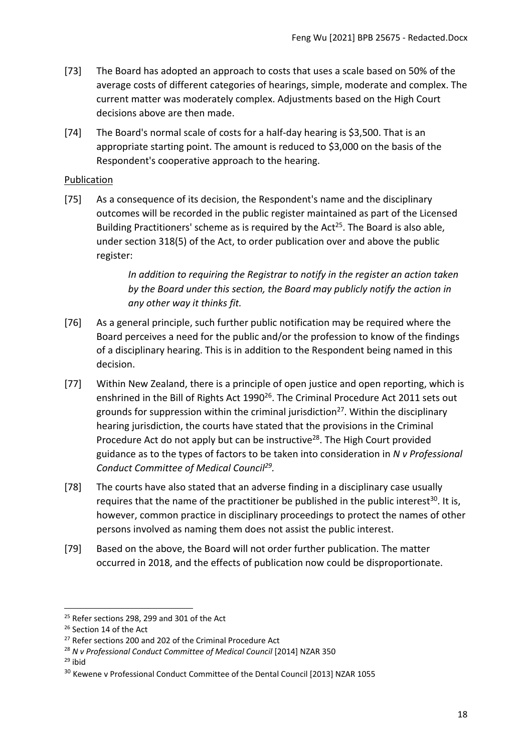- [73] The Board has adopted an approach to costs that uses a scale based on 50% of the average costs of different categories of hearings, simple, moderate and complex. The current matter was moderately complex. Adjustments based on the High Court decisions above are then made.
- [74] The Board's normal scale of costs for a half-day hearing is \$3,500. That is an appropriate starting point. The amount is reduced to \$3,000 on the basis of the Respondent's cooperative approach to the hearing.

## <span id="page-17-0"></span>Publication

[75] As a consequence of its decision, the Respondent's name and the disciplinary outcomes will be recorded in the public register maintained as part of the Licensed Building Practitioners' scheme as is required by the Act<sup>25</sup>. The Board is also able, under section 318(5) of the Act, to order publication over and above the public register:

> *In addition to requiring the Registrar to notify in the register an action taken by the Board under this section, the Board may publicly notify the action in any other way it thinks fit.*

- [76] As a general principle, such further public notification may be required where the Board perceives a need for the public and/or the profession to know of the findings of a disciplinary hearing. This is in addition to the Respondent being named in this decision.
- [77] Within New Zealand, there is a principle of open justice and open reporting, which is enshrined in the Bill of Rights Act 1990<sup>26</sup>. The Criminal Procedure Act 2011 sets out grounds for suppression within the criminal jurisdiction<sup>27</sup>. Within the disciplinary hearing jurisdiction, the courts have stated that the provisions in the Criminal Procedure Act do not apply but can be instructive<sup>28</sup>. The High Court provided guidance as to the types of factors to be taken into consideration in *N v Professional Conduct Committee of Medical Council<sup>29</sup> .*
- [78] The courts have also stated that an adverse finding in a disciplinary case usually requires that the name of the practitioner be published in the public interest<sup>30</sup>. It is, however, common practice in disciplinary proceedings to protect the names of other persons involved as naming them does not assist the public interest.
- [79] Based on the above, the Board will not order further publication. The matter occurred in 2018, and the effects of publication now could be disproportionate.

 $25$  Refer sections 298, 299 and 301 of the Act

<sup>&</sup>lt;sup>26</sup> Section 14 of the Act

<sup>&</sup>lt;sup>27</sup> Refer sections 200 and 202 of the Criminal Procedure Act

<sup>28</sup> *N v Professional Conduct Committee of Medical Council* [2014] NZAR 350

 $29$  ibid

<sup>&</sup>lt;sup>30</sup> Kewene v Professional Conduct Committee of the Dental Council [2013] NZAR 1055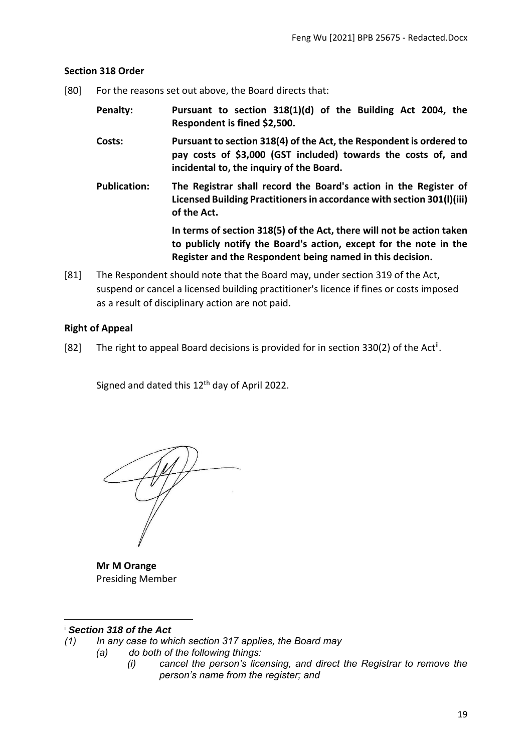## <span id="page-18-0"></span>**Section 318 Order**

- [80] For the reasons set out above, the Board directs that:
	- **Penalty: Pursuant to section 318(1)(d) of the Building Act 2004, the Respondent is fined \$2,500.**
	- **Costs: Pursuant to section 318(4) of the Act, the Respondent is ordered to pay costs of \$3,000 (GST included) towards the costs of, and incidental to, the inquiry of the Board.**
	- **Publication: The Registrar shall record the Board's action in the Register of Licensed Building Practitioners in accordance with section 301(l)(iii) of the Act.**

**In terms of section 318(5) of the Act, there will not be action taken to publicly notify the Board's action, except for the note in the Register and the Respondent being named in this decision.**

[81] The Respondent should note that the Board may, under section 319 of the Act, suspend or cancel a licensed building practitioner's licence if fines or costs imposed as a result of disciplinary action are not paid.

# <span id="page-18-1"></span>**Right of Appeal**

[82] The right to appeal Board decisions is provided for in section 330(2) of the Act<sup>ii</sup>.

Signed and dated this 12<sup>th</sup> day of April 2022.

**Mr M Orange**  Presiding Member

### <sup>i</sup> *Section 318 of the Act*

- *(1) In any case to which section 317 applies, the Board may*
	- *(a) do both of the following things:*
		- *(i) cancel the person's licensing, and direct the Registrar to remove the person's name from the register; and*